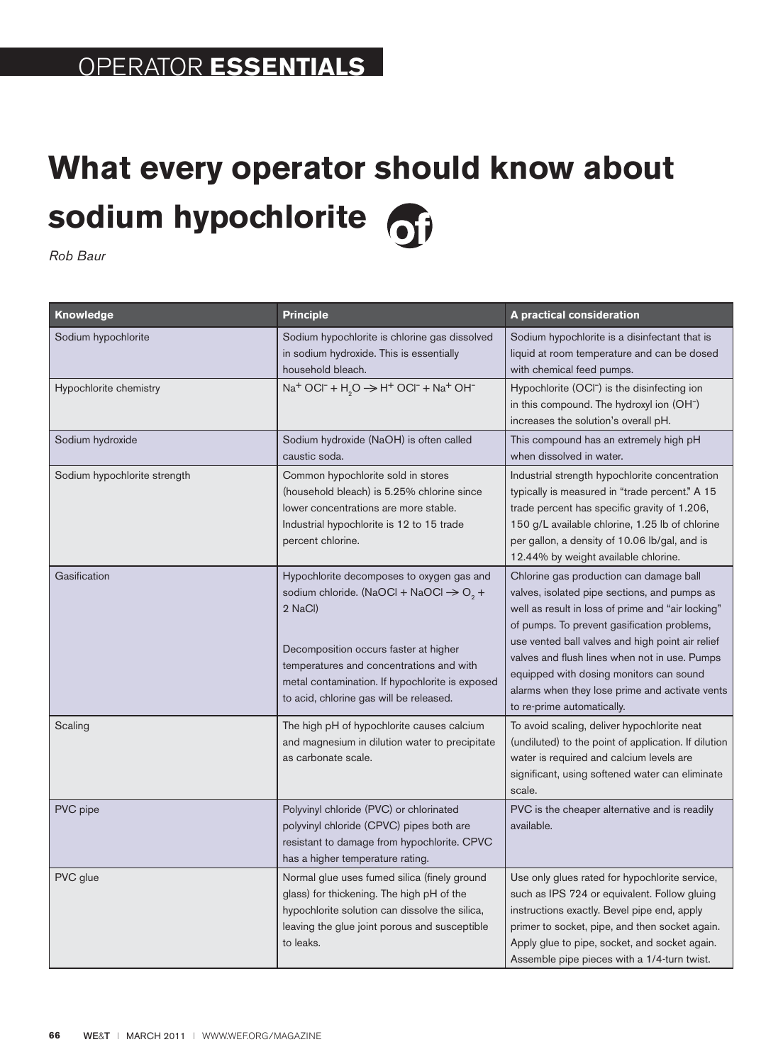## **What every operator should know about sodium hypochlorite**

*Rob Baur*

| Knowledge                    | <b>Principle</b>                                                                                                                                                                                                                                                                                          | A practical consideration                                                                                                                                                                                                                                                                                                                                                                                                   |
|------------------------------|-----------------------------------------------------------------------------------------------------------------------------------------------------------------------------------------------------------------------------------------------------------------------------------------------------------|-----------------------------------------------------------------------------------------------------------------------------------------------------------------------------------------------------------------------------------------------------------------------------------------------------------------------------------------------------------------------------------------------------------------------------|
| Sodium hypochlorite          | Sodium hypochlorite is chlorine gas dissolved<br>in sodium hydroxide. This is essentially<br>household bleach.                                                                                                                                                                                            | Sodium hypochlorite is a disinfectant that is<br>liquid at room temperature and can be dosed<br>with chemical feed pumps.                                                                                                                                                                                                                                                                                                   |
| Hypochlorite chemistry       | $Na+ OCl- + H2O \rightarrow H+ OCl- + Na+ OH-$                                                                                                                                                                                                                                                            | Hypochlorite (OCI <sup>-</sup> ) is the disinfecting ion<br>in this compound. The hydroxyl ion (OH <sup>-</sup> )<br>increases the solution's overall pH.                                                                                                                                                                                                                                                                   |
| Sodium hydroxide             | Sodium hydroxide (NaOH) is often called<br>caustic soda.                                                                                                                                                                                                                                                  | This compound has an extremely high pH<br>when dissolved in water.                                                                                                                                                                                                                                                                                                                                                          |
| Sodium hypochlorite strength | Common hypochlorite sold in stores<br>(household bleach) is 5.25% chlorine since<br>lower concentrations are more stable.<br>Industrial hypochlorite is 12 to 15 trade<br>percent chlorine.                                                                                                               | Industrial strength hypochlorite concentration<br>typically is measured in "trade percent." A 15<br>trade percent has specific gravity of 1.206,<br>150 g/L available chlorine, 1.25 lb of chlorine<br>per gallon, a density of 10.06 lb/gal, and is<br>12.44% by weight available chlorine.                                                                                                                                |
| Gasification                 | Hypochlorite decomposes to oxygen gas and<br>sodium chloride. (NaOCl + NaOCl $\rightarrow$ O <sub>2</sub> +<br>2 NaCl)<br>Decomposition occurs faster at higher<br>temperatures and concentrations and with<br>metal contamination. If hypochlorite is exposed<br>to acid, chlorine gas will be released. | Chlorine gas production can damage ball<br>valves, isolated pipe sections, and pumps as<br>well as result in loss of prime and "air locking"<br>of pumps. To prevent gasification problems,<br>use vented ball valves and high point air relief<br>valves and flush lines when not in use. Pumps<br>equipped with dosing monitors can sound<br>alarms when they lose prime and activate vents<br>to re-prime automatically. |
| Scaling                      | The high pH of hypochlorite causes calcium<br>and magnesium in dilution water to precipitate<br>as carbonate scale.                                                                                                                                                                                       | To avoid scaling, deliver hypochlorite neat<br>(undiluted) to the point of application. If dilution<br>water is required and calcium levels are<br>significant, using softened water can eliminate<br>scale.                                                                                                                                                                                                                |
| PVC pipe                     | Polyvinyl chloride (PVC) or chlorinated<br>polyvinyl chloride (CPVC) pipes both are<br>resistant to damage from hypochlorite. CPVC<br>has a higher temperature rating.                                                                                                                                    | PVC is the cheaper alternative and is readily<br>available.                                                                                                                                                                                                                                                                                                                                                                 |
| PVC glue                     | Normal glue uses fumed silica (finely ground<br>glass) for thickening. The high pH of the<br>hypochlorite solution can dissolve the silica,<br>leaving the glue joint porous and susceptible<br>to leaks.                                                                                                 | Use only glues rated for hypochlorite service,<br>such as IPS 724 or equivalent. Follow gluing<br>instructions exactly. Bevel pipe end, apply<br>primer to socket, pipe, and then socket again.<br>Apply glue to pipe, socket, and socket again.<br>Assemble pipe pieces with a 1/4-turn twist.                                                                                                                             |